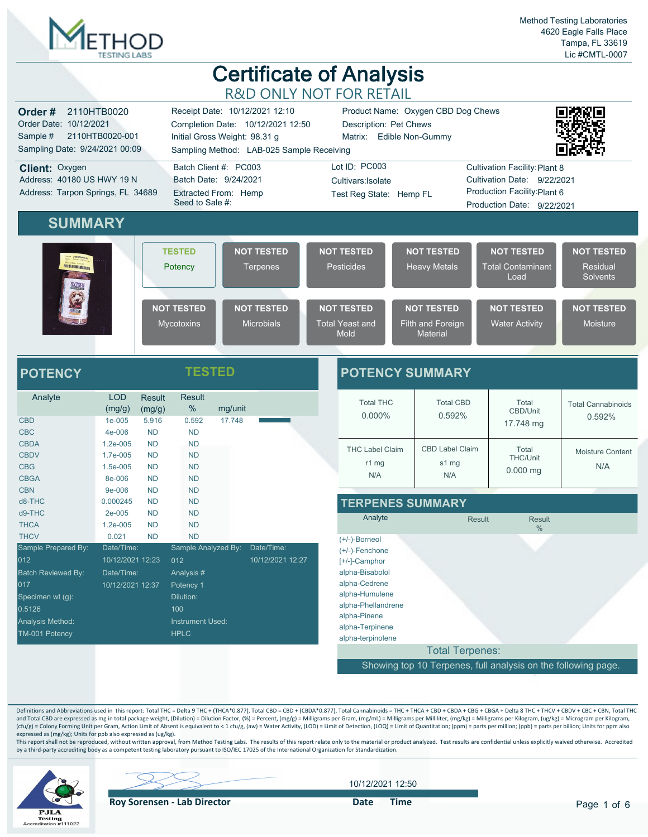

|                                                                                                                                                                                                                                                                       |                                                                  |                                                  |                                                                                                              |                   | $\sim$                                                                                                                                                                                              |  |                                                                                                                                                                                            |  |                                                                                           |                                                                                                     |        |                                                                                                 |
|-----------------------------------------------------------------------------------------------------------------------------------------------------------------------------------------------------------------------------------------------------------------------|------------------------------------------------------------------|--------------------------------------------------|--------------------------------------------------------------------------------------------------------------|-------------------|-----------------------------------------------------------------------------------------------------------------------------------------------------------------------------------------------------|--|--------------------------------------------------------------------------------------------------------------------------------------------------------------------------------------------|--|-------------------------------------------------------------------------------------------|-----------------------------------------------------------------------------------------------------|--------|-------------------------------------------------------------------------------------------------|
| 2110HTB0020<br>Receipt Date: 10/12/2021 12:10<br>Order#<br>Order Date: 10/12/2021<br>Completion Date: 10/12/2021 12:50<br>Sample #<br>2110HTB0020-001<br>Initial Gross Weight: 98.31 g<br>Sampling Date: 9/24/2021 00:09<br>Sampling Method: LAB-025 Sample Receiving |                                                                  |                                                  |                                                                                                              |                   |                                                                                                                                                                                                     |  | Description: Pet Chews<br>Matrix: Edible Non-Gummy                                                                                                                                         |  | Product Name: Oxygen CBD Dog Chews                                                        |                                                                                                     |        |                                                                                                 |
| Batch Client #: PC003<br>Client: Oxygen<br>Address: 40180 US HWY 19 N<br>Batch Date: 9/24/2021<br>Address: Tarpon Springs, FL 34689<br>Extracted From: Hemp<br>Seed to Sale #:                                                                                        |                                                                  |                                                  |                                                                                                              |                   | Lot ID: PC003<br><b>Cultivation Facility: Plant 8</b><br>Cultivation Date: 9/22/2021<br>Cultivars: Isolate<br>Production Facility: Plant 6<br>Test Reg State: Hemp FL<br>Production Date: 9/22/2021 |  |                                                                                                                                                                                            |  |                                                                                           |                                                                                                     |        |                                                                                                 |
| <b>SUMMARY</b>                                                                                                                                                                                                                                                        |                                                                  |                                                  |                                                                                                              |                   |                                                                                                                                                                                                     |  |                                                                                                                                                                                            |  |                                                                                           |                                                                                                     |        |                                                                                                 |
| <b>INSURATION AND VALUE</b>                                                                                                                                                                                                                                           |                                                                  |                                                  | <b>TESTED</b><br>Potency<br><b>NOT TESTED</b><br>Mycotoxins                                                  |                   | <b>NOT TESTED</b><br><b>Terpenes</b><br><b>NOT TESTED</b><br><b>Microbials</b>                                                                                                                      |  | <b>NOT TESTED</b><br><b>Pesticides</b><br><b>NOT TESTED</b><br><b>Total Yeast and</b>                                                                                                      |  | <b>NOT TESTED</b><br><b>Heavy Metals</b><br><b>NOT TESTED</b><br><b>Filth and Foreign</b> | <b>NOT TESTED</b><br><b>Total Contaminant</b><br>Load<br><b>NOT TESTED</b><br><b>Water Activity</b> |        | <b>NOT TESTED</b><br><b>Residual</b><br><b>Solvents</b><br><b>NOT TESTED</b><br><b>Moisture</b> |
|                                                                                                                                                                                                                                                                       |                                                                  |                                                  |                                                                                                              |                   |                                                                                                                                                                                                     |  | Mold                                                                                                                                                                                       |  | <b>Material</b>                                                                           |                                                                                                     |        |                                                                                                 |
| <b>POTENCY</b>                                                                                                                                                                                                                                                        |                                                                  |                                                  | <b>TESTED</b>                                                                                                |                   |                                                                                                                                                                                                     |  |                                                                                                                                                                                            |  | <b>POTENCY SUMMARY</b>                                                                    |                                                                                                     |        |                                                                                                 |
| Analyte<br><b>CBD</b><br><b>CBC</b>                                                                                                                                                                                                                                   | <b>LOD</b><br>(mg/g)<br>1e-005<br>4e-006                         | <b>Result</b><br>(mg/g)<br>5.916<br><b>ND</b>    | <b>Result</b><br>$\%$<br>0.592<br><b>ND</b>                                                                  | mg/unit<br>17.748 |                                                                                                                                                                                                     |  | <b>Total THC</b><br>0.000%                                                                                                                                                                 |  | <b>Total CBD</b><br>0.592%                                                                | Total<br>CBD/Unit<br>17.748 mg                                                                      |        | <b>Total Cannabinoids</b><br>0.592%                                                             |
| <b>CBDA</b><br><b>CBDV</b><br><b>CBG</b><br><b>CBGA</b>                                                                                                                                                                                                               | 1.2e-005<br>1.7e-005<br>1.5e-005<br>8e-006                       | <b>ND</b><br><b>ND</b><br><b>ND</b><br><b>ND</b> | <b>ND</b><br><b>ND</b><br><b>ND</b><br><b>ND</b>                                                             |                   |                                                                                                                                                                                                     |  | <b>THC Label Claim</b><br>r1 mg<br>N/A                                                                                                                                                     |  | <b>CBD Label Claim</b><br>s1 mg<br>N/A                                                    | Total<br>THC/Unit<br>$0.000$ mg                                                                     |        | Moisture Content<br>N/A                                                                         |
| <b>CBN</b><br>d8-THC<br>d9-THC                                                                                                                                                                                                                                        | 9e-006<br>0.000245<br>2e-005                                     | <b>ND</b><br><b>ND</b><br><b>ND</b>              | <b>ND</b><br><b>ND</b><br><b>ND</b>                                                                          |                   |                                                                                                                                                                                                     |  | Analyte                                                                                                                                                                                    |  | <b>TERPENES SUMMARY</b>                                                                   | <b>Result</b>                                                                                       | Result |                                                                                                 |
| <b>THCA</b><br><b>THCV</b>                                                                                                                                                                                                                                            | 1.2e-005<br>0.021                                                | <b>ND</b><br><b>ND</b>                           | <b>ND</b><br><b>ND</b>                                                                                       |                   |                                                                                                                                                                                                     |  |                                                                                                                                                                                            |  |                                                                                           |                                                                                                     | %      |                                                                                                 |
| Sample Prepared By:<br>012<br>Batch Reviewed By:<br>017<br>Specimen wt (g):<br>0.5126<br>Analysis Method:<br>TM-001 Potency                                                                                                                                           | Date/Time:<br>10/12/2021 12:23<br>Date/Time:<br>10/12/2021 12:37 |                                                  | Sample Analyzed By:<br>012<br>Analysis #<br>Potency 1<br>Dilution:<br>100<br>Instrument Used:<br><b>HPLC</b> |                   | Date/Time:<br>10/12/2021 12:27                                                                                                                                                                      |  | $(+/-)$ -Borneol<br>$(+/-)$ -Fenchone<br>[+/-]-Camphor<br>alpha-Bisabolol<br>alpha-Cedrene<br>alpha-Humulene<br>alpha-Phellandrene<br>alpha-Pinene<br>alpha-Terpinene<br>alpha-terpinolene |  |                                                                                           |                                                                                                     |        |                                                                                                 |
|                                                                                                                                                                                                                                                                       |                                                                  |                                                  |                                                                                                              |                   |                                                                                                                                                                                                     |  |                                                                                                                                                                                            |  | <b>Total Terpenes:</b>                                                                    |                                                                                                     |        |                                                                                                 |

Showing top 10 Terpenes, full analysis on the following page.

Definitions and Abbreviations used in this report: Total THC = Delta 9 THC + (THCA\*0.877), Total CBD = CBD + (CBDA\*0.877), Total Cannabinoids = THC + THCA + CBD + CBD + CBD + CBG + CBG + CBG + Delta 8 THC + THCV + CBDV + C and Total CBD are expressed as mg in total package weight, (Dilution) = Dilution Factor, (%) = Percent, (mg/g) = Milligrams per Gram, (mg/mL) = Milligrams per Milliiter, (mg/kg) = Milligrams per Kilogram, (ug/kg) = Microgr expressed as (mg/kg); Units for ppb also expressed as (ug/kg).

This report shall not be reproduced, without written approval, from Method Testing Labs. The results of this report relate only to the material or product analyzed. Test results are confidential unless explicitly waived ot



10/12/2021 12:50

**Roy Sorensen - Lab Director Date Time**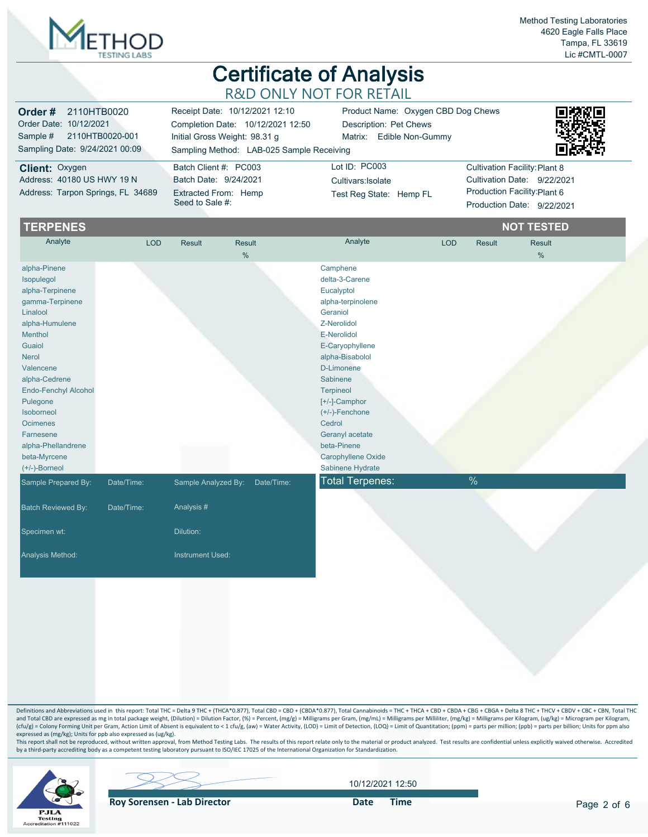

| <b>Order #</b> 2110HTB0020<br>Order Date: 10/12/2021<br>Sample # 2110HTB0020-001<br>Sampling Date: 9/24/2021 00:09 | Receipt Date: 10/12/2021 12:10<br>Completion Date: 10/12/2021 12:50<br>Initial Gross Weight: 98.31 g<br>Sampling Method: LAB-025 Sample Receiving | Product Name: Oxygen CBD Dog Chews<br>Description: Pet Chews<br>Matrix: Edible Non-Gummy | 縣級<br>杀光                      |
|--------------------------------------------------------------------------------------------------------------------|---------------------------------------------------------------------------------------------------------------------------------------------------|------------------------------------------------------------------------------------------|-------------------------------|
| <b>Client: Oxygen</b>                                                                                              | Batch Client #: PC003                                                                                                                             | Lot $ID: PC003$                                                                          | Cultivation Facility: Plant 8 |
| Address: 40180 US HWY 19 N                                                                                         | Batch Date: 9/24/2021                                                                                                                             | Cultivars: Isolate                                                                       | Cultivation Date: 9/22/2021   |
| Address: Tarpon Springs, FL 34689                                                                                  | Extracted From: Hemp<br>Seed to Sale #:                                                                                                           | Test Reg State: Hemp FL                                                                  | Production Facility: Plant 6  |
|                                                                                                                    |                                                                                                                                                   |                                                                                          | Production Date: 9/22/2021    |

| Analyte                   | <b>LOD</b> | <b>Result</b>       |               |                        |            |               |               |
|---------------------------|------------|---------------------|---------------|------------------------|------------|---------------|---------------|
|                           |            |                     | <b>Result</b> | Analyte                | <b>LOD</b> | <b>Result</b> | <b>Result</b> |
|                           |            |                     | $\frac{0}{0}$ |                        |            |               | %             |
| alpha-Pinene              |            |                     |               | Camphene               |            |               |               |
| Isopulegol                |            |                     |               | delta-3-Carene         |            |               |               |
| alpha-Terpinene           |            |                     |               | Eucalyptol             |            |               |               |
| gamma-Terpinene           |            |                     |               | alpha-terpinolene      |            |               |               |
| Linalool                  |            |                     |               | Geraniol               |            |               |               |
| alpha-Humulene            |            |                     |               | Z-Nerolidol            |            |               |               |
| Menthol                   |            |                     |               | E-Nerolidol            |            |               |               |
| Guaiol                    |            |                     |               | E-Caryophyllene        |            |               |               |
| Nerol                     |            |                     |               | alpha-Bisabolol        |            |               |               |
| Valencene                 |            |                     |               | D-Limonene             |            |               |               |
| alpha-Cedrene             |            |                     |               | Sabinene               |            |               |               |
| Endo-Fenchyl Alcohol      |            |                     |               | Terpineol              |            |               |               |
| Pulegone                  |            |                     |               | [+/-]-Camphor          |            |               |               |
| Isoborneol                |            |                     |               | $(+/-)$ -Fenchone      |            |               |               |
| <b>Ocimenes</b>           |            |                     |               | Cedrol                 |            |               |               |
| Farnesene                 |            |                     |               | Geranyl acetate        |            |               |               |
| alpha-Phellandrene        |            |                     |               | beta-Pinene            |            |               |               |
| beta-Myrcene              |            |                     |               | Carophyllene Oxide     |            |               |               |
| $(+/-)$ -Borneol          |            |                     |               | Sabinene Hydrate       |            |               |               |
| Sample Prepared By:       | Date/Time: | Sample Analyzed By: | Date/Time:    | <b>Total Terpenes:</b> |            | $\%$          |               |
| <b>Batch Reviewed By:</b> | Date/Time: | Analysis #          |               |                        |            |               |               |
| Specimen wt:              |            | Dilution:           |               |                        |            |               |               |
|                           |            |                     |               |                        |            |               |               |
| Analysis Method:          |            | Instrument Used:    |               |                        |            |               |               |
|                           |            |                     |               |                        |            |               |               |

Definitions and Abbreviations used in this report: Total THC = Delta 9 THC + (THCA\*0.877), Total CBD = CBD + (CBDA\*0.877), Total Cannabinoids = THC + THCA + CBD + CBDA + CBGA + CBGA + Delta 8 THC + THCV + CBDV + CBC + CBN, and Total CBD are expressed as mg in total package weight, (Dilution) = Dilution Factor, (%) = Percent, (mg/g) = Milligrams per Gram, (mg/mL) = Milligrams per Milliiter, (mg/kg) = Milligrams per Kilogram, (ug/kg) = Microgr expressed as (mg/kg); Units for ppb also expressed as (ug/kg).

This report shall not be reproduced, without written approval, from Method Testing Labs. The results of this report relate only to the material or product analyzed. Test results are confidential unless explicitly waived ot



**Roy Sorensen - Lab Director Container Solution Container Container Pate Time** 

10/12/2021 12:50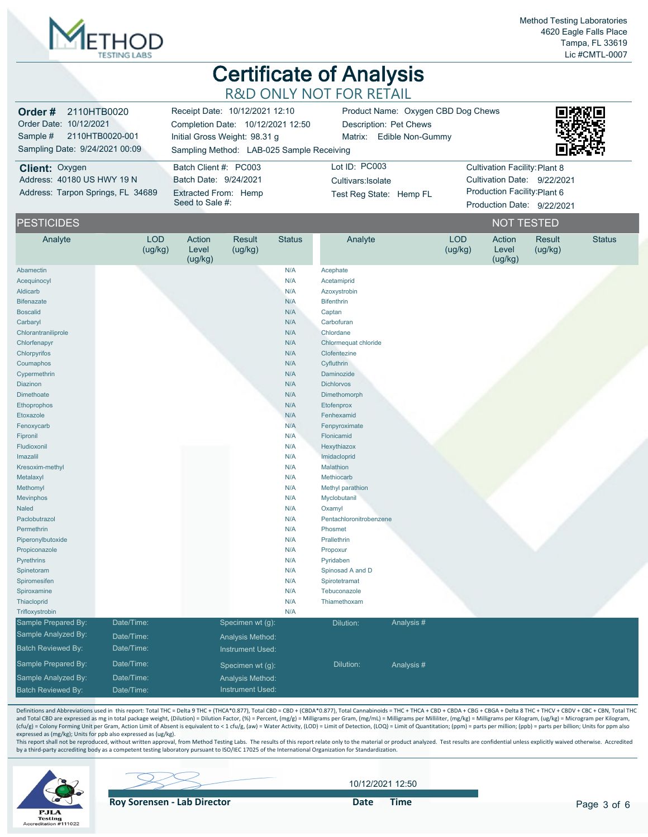

| Order#<br>2110HTB0020<br>Order Date: 10/12/2021<br>Sample #<br>2110HTB0020-001<br>Sampling Date: 9/24/2021 00:09 |                       | Receipt Date: 10/12/2021 12:10<br>Completion Date: 10/12/2021 12:50<br>Initial Gross Weight: 98.31 g<br>Sampling Method: LAB-025 Sample Receiving |                                                | Product Name: Oxygen CBD Dog Chews<br>Description: Pet Chews<br>Matrix: Edible Non-Gummy |                                     |            |                       |                                      |                             |               |
|------------------------------------------------------------------------------------------------------------------|-----------------------|---------------------------------------------------------------------------------------------------------------------------------------------------|------------------------------------------------|------------------------------------------------------------------------------------------|-------------------------------------|------------|-----------------------|--------------------------------------|-----------------------------|---------------|
| Client: Oxygen<br>Address: 40180 US HWY 19 N                                                                     |                       |                                                                                                                                                   | Batch Client #: PC003<br>Batch Date: 9/24/2021 |                                                                                          | Lot ID: PC003<br>Cultivars: Isolate |            |                       | <b>Cultivation Facility: Plant 8</b> | Cultivation Date: 9/22/2021 |               |
| Address: Tarpon Springs, FL 34689                                                                                |                       | Seed to Sale #:                                                                                                                                   | Extracted From: Hemp                           |                                                                                          | Test Reg State: Hemp FL             |            |                       | Production Facility: Plant 6         | Production Date: 9/22/2021  |               |
| <b>PESTICIDES</b>                                                                                                |                       |                                                                                                                                                   |                                                |                                                                                          |                                     |            |                       | <b>NOT TESTED</b>                    |                             |               |
| Analyte                                                                                                          | <b>LOD</b><br>(ug/kg) | Action<br>Level<br>(ug/kg)                                                                                                                        | Result<br>(ug/kg)                              | <b>Status</b>                                                                            | Analyte                             |            | <b>LOD</b><br>(ug/kg) | Action<br>Level<br>(ug/kg)           | Result<br>(ug/kg)           | <b>Status</b> |
| Abamectin                                                                                                        |                       |                                                                                                                                                   |                                                | N/A                                                                                      | Acephate                            |            |                       |                                      |                             |               |
| Acequinocyl                                                                                                      |                       |                                                                                                                                                   |                                                | N/A                                                                                      | Acetamiprid                         |            |                       |                                      |                             |               |
| Aldicarb                                                                                                         |                       |                                                                                                                                                   |                                                | N/A                                                                                      | Azoxystrobin                        |            |                       |                                      |                             |               |
| <b>Bifenazate</b>                                                                                                |                       |                                                                                                                                                   |                                                | N/A                                                                                      | <b>Bifenthrin</b>                   |            |                       |                                      |                             |               |
| <b>Boscalid</b>                                                                                                  |                       |                                                                                                                                                   |                                                | N/A                                                                                      | Captan                              |            |                       |                                      |                             |               |
| Carbaryl                                                                                                         |                       |                                                                                                                                                   |                                                | N/A                                                                                      | Carbofuran                          |            |                       |                                      |                             |               |
| Chlorantraniliprole                                                                                              |                       |                                                                                                                                                   |                                                | N/A                                                                                      | Chlordane                           |            |                       |                                      |                             |               |
| Chlorfenapyr                                                                                                     |                       |                                                                                                                                                   |                                                | N/A                                                                                      | Chlormequat chloride                |            |                       |                                      |                             |               |
| Chlorpyrifos                                                                                                     |                       |                                                                                                                                                   |                                                | N/A                                                                                      | Clofentezine                        |            |                       |                                      |                             |               |
| Coumaphos                                                                                                        |                       |                                                                                                                                                   |                                                | N/A                                                                                      | Cyfluthrin                          |            |                       |                                      |                             |               |
| Cypermethrin                                                                                                     |                       |                                                                                                                                                   |                                                | N/A                                                                                      | Daminozide                          |            |                       |                                      |                             |               |
| Diazinon                                                                                                         |                       |                                                                                                                                                   |                                                | N/A                                                                                      | <b>Dichlorvos</b>                   |            |                       |                                      |                             |               |
| <b>Dimethoate</b>                                                                                                |                       |                                                                                                                                                   |                                                | N/A                                                                                      | Dimethomorph                        |            |                       |                                      |                             |               |
| Ethoprophos                                                                                                      |                       |                                                                                                                                                   |                                                | N/A                                                                                      | Etofenprox                          |            |                       |                                      |                             |               |
| Etoxazole                                                                                                        |                       |                                                                                                                                                   |                                                | N/A                                                                                      | Fenhexamid                          |            |                       |                                      |                             |               |
| Fenoxycarb                                                                                                       |                       |                                                                                                                                                   |                                                | N/A                                                                                      | Fenpyroximate                       |            |                       |                                      |                             |               |
| Fipronil                                                                                                         |                       |                                                                                                                                                   |                                                | N/A                                                                                      | Flonicamid                          |            |                       |                                      |                             |               |
| Fludioxonil                                                                                                      |                       |                                                                                                                                                   |                                                | N/A                                                                                      | Hexythiazox                         |            |                       |                                      |                             |               |
| Imazalil                                                                                                         |                       |                                                                                                                                                   |                                                | N/A                                                                                      | Imidacloprid                        |            |                       |                                      |                             |               |
| Kresoxim-methyl                                                                                                  |                       |                                                                                                                                                   |                                                | N/A                                                                                      | Malathion                           |            |                       |                                      |                             |               |
| Metalaxyl                                                                                                        |                       |                                                                                                                                                   |                                                | N/A                                                                                      | Methiocarb                          |            |                       |                                      |                             |               |
| Methomyl                                                                                                         |                       |                                                                                                                                                   |                                                | N/A                                                                                      | Methyl parathion                    |            |                       |                                      |                             |               |
| Mevinphos                                                                                                        |                       |                                                                                                                                                   |                                                | N/A                                                                                      | Myclobutanil                        |            |                       |                                      |                             |               |
|                                                                                                                  |                       |                                                                                                                                                   |                                                |                                                                                          |                                     |            |                       |                                      |                             |               |
| <b>Naled</b><br>Paclobutrazol                                                                                    |                       |                                                                                                                                                   |                                                | N/A<br>N/A                                                                               | Oxamyl<br>Pentachloronitrobenzene   |            |                       |                                      |                             |               |
| Permethrin                                                                                                       |                       |                                                                                                                                                   |                                                | N/A                                                                                      | Phosmet                             |            |                       |                                      |                             |               |
| Piperonylbutoxide                                                                                                |                       |                                                                                                                                                   |                                                | N/A                                                                                      | Prallethrin                         |            |                       |                                      |                             |               |
|                                                                                                                  |                       |                                                                                                                                                   |                                                |                                                                                          |                                     |            |                       |                                      |                             |               |
| Propiconazole                                                                                                    |                       |                                                                                                                                                   |                                                | N/A                                                                                      | Propoxur                            |            |                       |                                      |                             |               |
| <b>Pyrethrins</b>                                                                                                |                       |                                                                                                                                                   |                                                | N/A                                                                                      | Pyridaben                           |            |                       |                                      |                             |               |
| Spinetoram                                                                                                       |                       |                                                                                                                                                   |                                                | N/A<br>N/A                                                                               | Spinosad A and D                    |            |                       |                                      |                             |               |
| Spiromesifen                                                                                                     |                       |                                                                                                                                                   |                                                |                                                                                          | Spirotetramat                       |            |                       |                                      |                             |               |
| Spiroxamine                                                                                                      |                       |                                                                                                                                                   |                                                | N/A                                                                                      | Tebuconazole                        |            |                       |                                      |                             |               |
| Thiacloprid<br>Trifloxystrobin                                                                                   |                       |                                                                                                                                                   |                                                | N/A                                                                                      | Thiamethoxam                        |            |                       |                                      |                             |               |
|                                                                                                                  |                       |                                                                                                                                                   |                                                | N/A                                                                                      |                                     |            |                       |                                      |                             |               |
| Sample Prepared By:                                                                                              | Date/Time:            |                                                                                                                                                   | Specimen wt (g):                               |                                                                                          | Dilution:                           | Analysis # |                       |                                      |                             |               |
| Sample Analyzed By:                                                                                              | Date/Time:            |                                                                                                                                                   | Analysis Method:                               |                                                                                          |                                     |            |                       |                                      |                             |               |
| <b>Batch Reviewed By:</b>                                                                                        | Date/Time:            |                                                                                                                                                   | Instrument Used:                               |                                                                                          |                                     |            |                       |                                      |                             |               |
| Sample Prepared By:                                                                                              | Date/Time:            |                                                                                                                                                   | Specimen wt (g):                               |                                                                                          | Dilution:                           | Analysis#  |                       |                                      |                             |               |
| Sample Analyzed By:                                                                                              | Date/Time:            |                                                                                                                                                   | Analysis Method:                               |                                                                                          |                                     |            |                       |                                      |                             |               |
| <b>Batch Reviewed By:</b>                                                                                        | Date/Time:            |                                                                                                                                                   | Instrument Used:                               |                                                                                          |                                     |            |                       |                                      |                             |               |

Definitions and Abbreviations used in this report: Total THC = Delta 9 THC + (THCA\*0.877), Total CBD = CBD + (CBDA\*0.877), Total Cannabinoids = THC + THCA + CBD + CBDA + CBGA + CBGA + Delta 8 THC + THCV + CBDV + CBC + CBN, and Total CBD are expressed as mg in total package weight, (Dilution) = Dilution Factor, (%) = Percent, (mg/g) = Milligrams per Gram, (mg/mL) = Milligrams per Milliiter, (mg/kg) = Milligrams per Kilogram, (ug/kg) = Microgr expressed as (mg/kg); Units for ppb also expressed as (ug/kg).

This report shall not be reproduced, without written approval, from Method Testing Labs. The results of this report relate only to the material or product analyzed. Test results are confidential unless explicitly waived ot



10/12/2021 12:50

**Roy Sorensen - Lab Director Container Solution Container Solution Container Solution Container Solution Container Solution Container Solution Container Solution Container Solution Container Solution Container Solution C**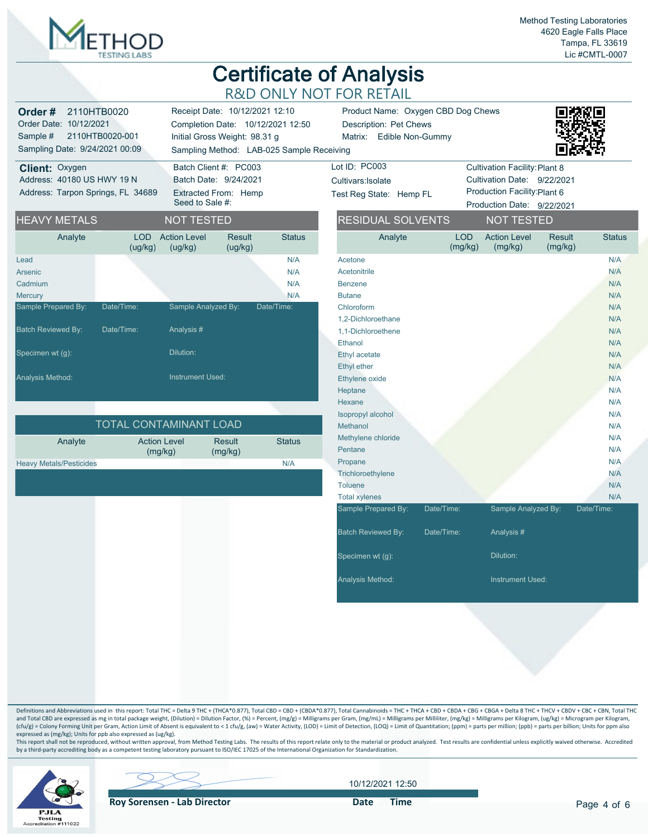

Status

# **Certificate of Analysis** R&D ONLY NOT FOR RETAIL

| Order#<br>Order Date: 10/12/2021<br>Sample #<br>Sampling Date: 9/24/2021 00:09 | 2110HTB0020<br>2110HTB0020-001 |                                | Receipt Date: 10/12/2021 12:10<br>Completion Date: 10/12/2021 12:50<br>Initial Gross Weight: 98.31 g | Sampling Method: LAB-025 Sample Receiving | Product Name: Oxygen CBD Dog Chews<br>Description: Pet Chews<br>Matrix: Edible Non-Gummy |                       |                                      |                   |       |
|--------------------------------------------------------------------------------|--------------------------------|--------------------------------|------------------------------------------------------------------------------------------------------|-------------------------------------------|------------------------------------------------------------------------------------------|-----------------------|--------------------------------------|-------------------|-------|
| Client: Oxygen                                                                 |                                | Batch Client #: PC003          |                                                                                                      |                                           | Lot ID: PC003                                                                            |                       | <b>Cultivation Facility: Plant 8</b> |                   |       |
| Address: 40180 US HWY 19 N                                                     |                                | Batch Date: 9/24/2021          |                                                                                                      |                                           | Cultivars: Isolate                                                                       |                       | Cultivation Date: 9/22/2021          |                   |       |
| Address: Tarpon Springs, FL 34689                                              |                                |                                | Extracted From: Hemp                                                                                 |                                           | Test Reg State: Hemp FL                                                                  |                       | Production Facility: Plant 6         |                   |       |
|                                                                                |                                | Seed to Sale #:                |                                                                                                      |                                           |                                                                                          |                       | Production Date: 9/22/2021           |                   |       |
| <b>HEAVY METALS</b>                                                            |                                | <b>NOT TESTED</b>              |                                                                                                      |                                           | <b>RESIDUAL SOLVENTS</b>                                                                 |                       | <b>NOT TESTED</b>                    |                   |       |
| Analyte                                                                        | LOD<br>(ug/kg)                 | <b>Action Level</b><br>(ug/kg) | Result<br>(ug/kg)                                                                                    | <b>Status</b>                             | Analyte                                                                                  | <b>LOD</b><br>(mg/kg) | <b>Action Level</b><br>(mg/kg)       | Result<br>(mg/kg) | Statu |
| Lead                                                                           |                                |                                |                                                                                                      | N/A                                       | Acetone                                                                                  |                       |                                      |                   | N/A   |
| Arsenic                                                                        |                                |                                |                                                                                                      | N/A                                       | Acetonitrile                                                                             |                       |                                      |                   | N/A   |
| Cadmium                                                                        |                                |                                |                                                                                                      | N/A                                       | Benzene                                                                                  |                       |                                      |                   | N/A   |
| Mercury                                                                        |                                |                                |                                                                                                      | N/A                                       | <b>Butane</b>                                                                            |                       |                                      |                   | N/A   |
| Sample Prepared By:                                                            | Date/Time:                     | Sample Analyzed By:            |                                                                                                      | Date/Time:                                | Chloroform                                                                               |                       |                                      |                   | N/A   |
|                                                                                |                                |                                |                                                                                                      |                                           | 1,2-Dichloroethane                                                                       |                       |                                      |                   | N/A   |
| <b>Batch Reviewed By:</b>                                                      | Date/Time:                     | Analysis #                     |                                                                                                      |                                           | 1.1-Dichloroethene                                                                       |                       |                                      |                   | N/A   |
|                                                                                |                                |                                |                                                                                                      |                                           | Ethanol                                                                                  |                       |                                      |                   | N/A   |
| Specimen wt (q):                                                               |                                | Dilution:                      |                                                                                                      |                                           | Ethyl acetate                                                                            |                       |                                      |                   | N/A   |
|                                                                                |                                |                                |                                                                                                      |                                           | Ethyl ether                                                                              |                       |                                      |                   | N/A   |
| Analysis Method:                                                               |                                | <b>Instrument Used:</b>        |                                                                                                      |                                           | Ethylene oxide                                                                           |                       |                                      |                   | N/A   |
|                                                                                |                                |                                |                                                                                                      |                                           | Heptane                                                                                  |                       |                                      |                   | N/A   |
|                                                                                |                                |                                |                                                                                                      |                                           | Hovano                                                                                   |                       |                                      |                   | NIA   |

| <b>TOTAL CONTAMINANT LOAD</b>  |                                |                   |               |  |  |  |  |  |  |
|--------------------------------|--------------------------------|-------------------|---------------|--|--|--|--|--|--|
| Analyte                        | <b>Action Level</b><br>(mq/kg) | Result<br>(mq/kg) | <b>Status</b> |  |  |  |  |  |  |
| <b>Heavy Metals/Pesticides</b> |                                |                   | N/A           |  |  |  |  |  |  |

| Acetonitrile       | N/A |
|--------------------|-----|
| <b>Benzene</b>     | N/A |
| <b>Butane</b>      | N/A |
| Chloroform         | N/A |
| 1,2-Dichloroethane | N/A |
| 1,1-Dichloroethene | N/A |
| Ethanol            | N/A |
| Ethyl acetate      | N/A |
| <b>Ethyl ether</b> | N/A |
| Ethylene oxide     | N/A |
| Heptane            | N/A |
| Hexane             | N/A |

| Pentane                   |            |                         | N/A        |
|---------------------------|------------|-------------------------|------------|
| Propane                   |            |                         | N/A        |
| Trichloroethylene         |            |                         | N/A        |
| Toluene                   |            |                         | N/A        |
| <b>Total xylenes</b>      |            |                         | N/A        |
| Sample Prepared By:       | Date/Time: | Sample Analyzed By:     | Date/Time: |
| <b>Batch Reviewed By:</b> | Date/Time: | Analysis #              |            |
| Specimen wt (g):          |            | Dilution:               |            |
| <b>Analysis Method:</b>   |            | <b>Instrument Used:</b> |            |
|                           |            |                         |            |

Isopropyl alcohol N/A Methanol N/A Methylene chloride N/A

Definitions and Abbreviations used in this report: Total THC = Delta 9 THC + (THCA\*0.877), Total CBD = CBD + (CBDA\*0.877), Total Cannabinoids = THC + THCA + CBD + CBDA + CBGA + CBGA + Delta 8 THC + THCV + CBDV + CBC + CBN, and Total CBD are expressed as mg in total package weight, (Dilution) = Dilution Factor, (%) = Percent, (mg/g) = Milligrams per Gram, (mg/mL) = Milligrams per Millilter, (mg/kg) = Milligrams per Kilogram, (ug/kg) = Microgr (cfu/g) = Colony Forming Unit per Gram, Action Limit of Absent is equivalent to < 1 cfu/g, (aw) = Water Activity, (LOD) = Limit of Detection, (LOQ) = Limit of Quantitation; (ppm) = parts per million; (ppb) = parts per mill expressed as (mg/kg); Units for ppb also expressed as (ug/kg).

This report shall not be reproduced, without written approval, from Method Testing Labs. The results of this report relate only to the material or product analyzed. Test results are confidential unless explicitly waived ot



**Roy Sorensen - Lab Director Container Solution Container Container Pate Time** 

10/12/2021 12:50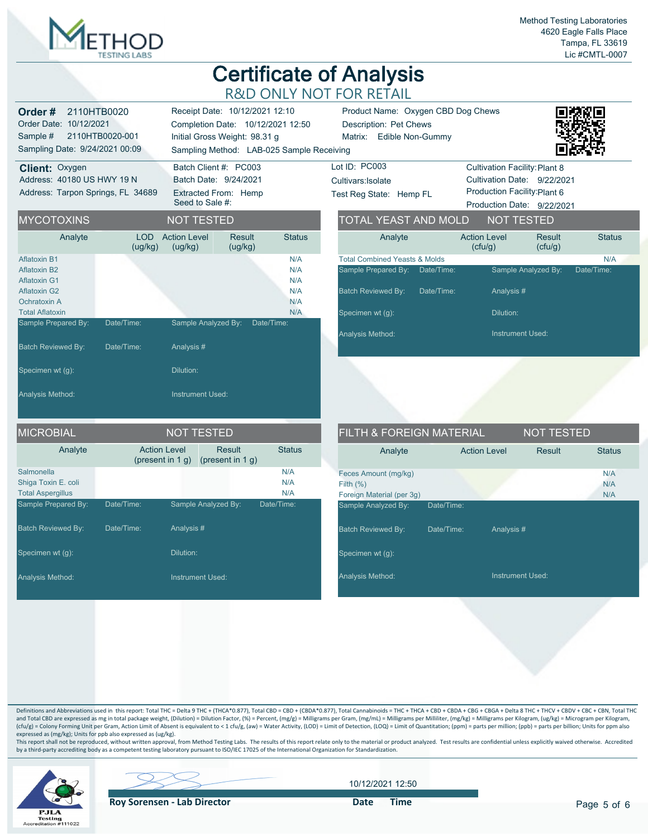

| 2110HTB0020<br>Order #<br>Order Date: 10/12/2021<br>2110HTB0020-001<br>Sample #<br>Sampling Date: 9/24/2021 00:09                  |                          | Receipt Date: 10/12/2021 12:10<br>Completion Date: 10/12/2021 12:50<br>Initial Gross Weight: 98.31 g | Sampling Method: LAB-025 Sample Receiving                              | Product Name: Oxygen CBD Dog Chews<br>Description: Pet Chews<br>Matrix: Edible Non-Gummy |                                                                                                                  |                                                                                                                                   |                         |                   |  |  |
|------------------------------------------------------------------------------------------------------------------------------------|--------------------------|------------------------------------------------------------------------------------------------------|------------------------------------------------------------------------|------------------------------------------------------------------------------------------|------------------------------------------------------------------------------------------------------------------|-----------------------------------------------------------------------------------------------------------------------------------|-------------------------|-------------------|--|--|
| Client: Oxygen<br>Address: 40180 US HWY 19 N<br>Address: Tarpon Springs, FL 34689                                                  |                          | Seed to Sale #:                                                                                      | Batch Client #: PC003<br>Batch Date: 9/24/2021<br>Extracted From: Hemp |                                                                                          | Lot ID: PC003<br>Cultivars: Isolate<br>Test Reg State: Hemp FL                                                   | <b>Cultivation Facility: Plant 8</b><br>Cultivation Date: 9/22/2021<br>Production Facility: Plant 6<br>Production Date: 9/22/2021 |                         |                   |  |  |
| <b>MYCOTOXINS</b>                                                                                                                  |                          | <b>NOT TESTED</b>                                                                                    |                                                                        |                                                                                          | TOTAL YEAST AND MOLD                                                                                             |                                                                                                                                   | <b>NOT TESTED</b>       |                   |  |  |
| Analyte                                                                                                                            | LOD<br>(ug/kg)           | <b>Action Level</b><br>(ug/kg)                                                                       | <b>Result</b><br>(ug/kg)                                               | <b>Status</b>                                                                            | Analyte                                                                                                          | <b>Action Level</b><br>(cfu/g)                                                                                                    | Result<br>(ctu/g)       | <b>Status</b>     |  |  |
| <b>Aflatoxin B1</b><br><b>Aflatoxin B2</b><br><b>Aflatoxin G1</b><br><b>Aflatoxin G2</b><br>Ochratoxin A<br><b>Total Aflatoxin</b> |                          |                                                                                                      |                                                                        | N/A<br>N/A<br>N/A<br>N/A<br>N/A<br>N/A                                                   | <b>Total Combined Yeasts &amp; Molds</b><br>Sample Prepared By:<br><b>Batch Reviewed By:</b><br>Specimen wt (g): | Date/Time:<br>Date/Time:<br>Analysis#<br>Dilution:                                                                                | Sample Analyzed By:     | N/A<br>Date/Time: |  |  |
| Sample Prepared By:<br><b>Batch Reviewed By:</b>                                                                                   | Date/Time:<br>Date/Time: | Sample Analyzed By:<br>Analysis#                                                                     |                                                                        | Date/Time:                                                                               | Analysis Method:                                                                                                 |                                                                                                                                   | <b>Instrument Used:</b> |                   |  |  |
| Specimen wt (g):<br>Analysis Method:                                                                                               |                          | Dilution:<br><b>Instrument Used:</b>                                                                 |                                                                        |                                                                                          |                                                                                                                  |                                                                                                                                   |                         |                   |  |  |
| MICROBIAL                                                                                                                          |                          | <b>NOT TESTED</b>                                                                                    |                                                                        |                                                                                          | <b>FILTH &amp; FOREIGN MATERIAL</b>                                                                              |                                                                                                                                   | <b>NOT TESTED</b>       |                   |  |  |
| Analyte                                                                                                                            |                          | <b>Action Level</b><br>(present in $1 g$ )                                                           | <b>Result</b><br>(present in $1 g$ )                                   | <b>Status</b>                                                                            | Analyte                                                                                                          | <b>Action Level</b>                                                                                                               | Result                  | <b>Status</b>     |  |  |
| Salmonella<br>Shiga Toxin E. coli<br><b>Total Aspergillus</b>                                                                      |                          |                                                                                                      |                                                                        | N/A<br>N/A<br>N/A                                                                        | Feces Amount (mg/kg)<br>Filth $(% )$<br>Foreign Material (per 3g)                                                |                                                                                                                                   |                         | N/A<br>N/A<br>N/A |  |  |
| Sample Prepared By:<br><b>Batch Reviewed By:</b>                                                                                   | Date/Time:<br>Date/Time: | Sample Analyzed By:<br>Analysis#                                                                     |                                                                        | Date/Time:                                                                               | Sample Analyzed By:<br><b>Batch Reviewed By:</b>                                                                 | Date/Time:<br>Date/Time:<br>Analysis #                                                                                            |                         |                   |  |  |
| Specimen wt (g):                                                                                                                   |                          | Dilution:                                                                                            |                                                                        |                                                                                          | Specimen wt (g):                                                                                                 |                                                                                                                                   |                         |                   |  |  |
| Analysis Method:                                                                                                                   |                          | <b>Instrument Used:</b>                                                                              |                                                                        |                                                                                          | Analysis Method:                                                                                                 |                                                                                                                                   | <b>Instrument Used:</b> |                   |  |  |

Definitions and Abbreviations used in this report: Total THC = Delta 9 THC + (THCA\*0.877), Total CBD = CBD + (CBDA\*0.877), Total Cannabinoids = THC + THCA + CBD + CBDA + CBGA + CBGA + Delta 8 THC + THCV + CBDV + CBC + CBN, and Total CBD are expressed as mg in total package weight, (Dilution) = Dilution Factor, (%) = Percent, (mg/g) = Milligrams per Gram, (mg/mL) = Milligrams per Milliiter, (mg/kg) = Milligrams per Kilogram, (ug/kg) = Microgr expressed as (mg/kg); Units for ppb also expressed as (ug/kg).

This report shall not be reproduced, without written approval, from Method Testing Labs. The results of this report relate only to the material or product analyzed. Test results are confidential unless explicitly waived ot



10/12/2021 12:50

**Roy Sorensen - Lab Director Contact Contact Contact Contact Contact Contact Contact Contact Contact Contact Contact Contact Contact Contact Contact Contact Contact Contact Contact Contact Contact Contact Contact Contact**